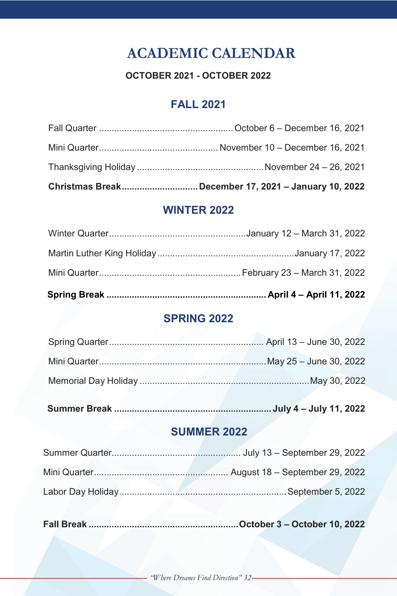# **ACADEMIC CALENDAR**

### **OCTOBER 2021 - OCTOBER 2022**

# **FALL 2021**

| Christmas BreakDecember 17, 2021 - January 10, 2022 |
|-----------------------------------------------------|
|                                                     |
|                                                     |
|                                                     |

# **WINTER 2022**

# **SPRING 2022**

### **SUMMER 2022**

**Fall Break ...........................................................October 3 – October 10, 2022**